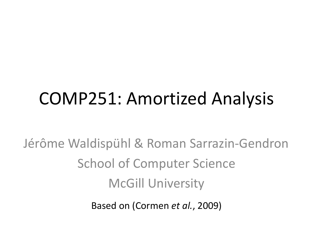## COMP251: Amortized Analysis

Jérôme Waldispühl & Roman Sarrazin-Gendron School of Computer Science McGill University

Based on (Cormen *et al.*, 2009)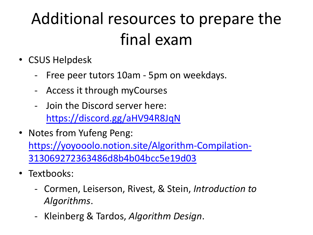## A[dditional resources t](https://discord.gg/aHV94R8JqN)o prepare the [final exam](https://yoyooolo.notion.site/Algorithm-Compilation-313069272363486d8b4b04bcc5e19d03)

- CSUS Helpdesk
	- Free peer tutors 10am 5pm on weekdays.
	- Access it through myCourses
	- Join the Discord server here: https://discord.gg/aHV94R8JqN
- Notes from Yufeng Peng: https://yoyooolo.notion.site/Algorithm-Compilation-313069272363486d8b4b04bcc5e19d03
- Textbooks:
	- Cormen, Leiserson, Rivest, & Stein, *Introduction to Algorithms*.
	- Kleinberg & Tardos, *Algorithm Design*.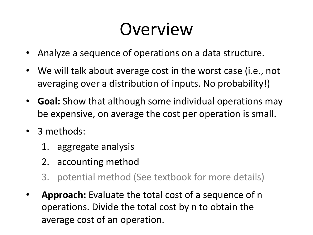## Overview

- Analyze a sequence of operations on a data structure.
- We will talk about average cost in the worst case (i.e., not averaging over a distribution of inputs. No probability!)
- **Goal:** Show that although some individual operations may be expensive, on average the cost per operation is small.
- 3 methods:
	- 1. aggregate analysis
	- 2. accounting method
	- 3. potential method (See textbook for more details)
- **Approach:** Evaluate the total cost of a sequence of n operations. Divide the total cost by n to obtain the average cost of an operation.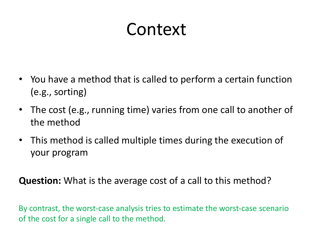### Context

- You have a method that is called to perform a certain function (e.g., sorting)
- The cost (e.g., running time) varies from one call to another of the method
- This method is called multiple times during the execution of your program

**Question:** What is the average cost of a call to this method?

By contrast, the worst-case analysis tries to estimate the worst-case scenario of the cost for a single call to the method.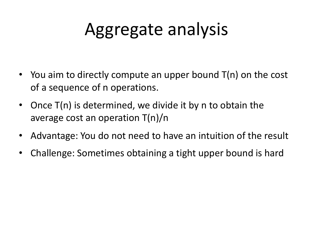## Aggregate analysis

- You aim to directly compute an upper bound T(n) on the cost of a sequence of n operations.
- Once T(n) is determined, we divide it by n to obtain the average cost an operation T(n)/n
- Advantage: You do not need to have an intuition of the result
- Challenge: Sometimes obtaining a tight upper bound is hard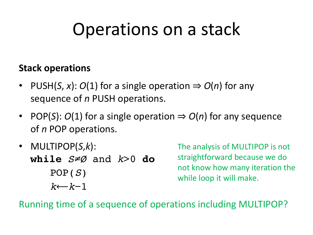## Operations on a stack

#### **Stack operations**

- PUSH(*S*, *x*):  $O(1)$  for a single operation  $\Rightarrow$   $O(n)$  for any sequence of *n* PUSH operations.
- POP(S):  $O(1)$  for a single operation  $\Rightarrow$   $O(n)$  for any sequence of *n* POP operations.
- MULTIPOP(*S*,*k*): **while** *S*≠*Ø* and *k*>0 **do** POP(*S*) *k*⟵*k*−1

The analysis of MULTIPOP is not straightforward because we do not know how many iteration the while loop it will make.

Running time of a sequence of operations including MULTIPOP?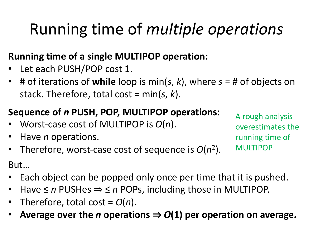### Running time of *multiple operations*

### **Running time of a single MULTIPOP operation:**

- Let each PUSH/POP cost 1.
- # of iterations of **while** loop is min(*s*, *k*), where *s* = # of objects on stack. Therefore, total cost = min(*s*, *k*).

### **Sequence of** *n* **PUSH, POP, MULTIPOP operations:**

- Worst-case cost of MULTIPOP is *O*(*n*).
- Have *n* operations.
- Therefore, worst-case cost of sequence is *O*(*n*2).

A rough analysis overestimates the running time of MULTIPOP

But…

- Each object can be popped only once per time that it is pushed.
- Have ≤ *n* PUSHes ⇒ ≤ *n* POPs, including those in MULTIPOP.
- Therefore, total cost =  $O(n)$ .
- Average over the *n* operations  $\Rightarrow$   $O(1)$  per operation on average.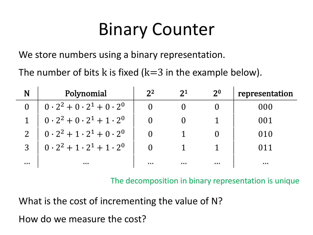## Binary Counter

We store numbers using a binary representation.

The number of bits k is fixed ( $k=3$  in the example below).

| N | Polynomial                                                              | $2^2$ | 2 <sup>1</sup> | 2 <sup>0</sup> | representation |
|---|-------------------------------------------------------------------------|-------|----------------|----------------|----------------|
|   | $\begin{pmatrix} 0 \cdot 2^2 + 0 \cdot 2^1 + 0 \cdot 2^0 \end{pmatrix}$ |       |                |                | 000            |
|   | $\begin{pmatrix} 0 \cdot 2^2 + 0 \cdot 2^1 + 1 \cdot 2^0 \end{pmatrix}$ |       |                |                | 001            |
|   | $0.2^2 + 1.2^1 + 0.2^0$                                                 |       |                |                |                |
|   | $\begin{pmatrix} 0.2^2 + 1.2^1 + 1.2^0 \end{pmatrix}$                   |       |                |                |                |
| . | .                                                                       | .     | .              |                | .              |

The decomposition in binary representation is unique

What is the cost of incrementing the value of N?

How do we measure the cost?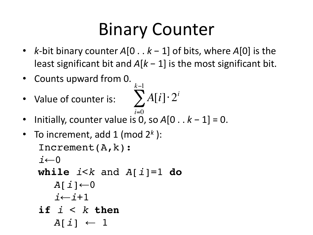## Binary Counter

- *k*-bit binary counter *A*[0 . . *k* − 1] of bits, where *A*[0] is the least significant bit and  $A[k-1]$  is the most significant bit.
- Counts upward from 0.
- Value of counter is:

$$
\sum_{i=0}^{k-1} A[i] \cdot 2^i
$$

- Initially, counter value is 0, so *A*[0 . . *k* − 1] = 0. *i*=0
- To increment, add 1 (mod 2*<sup>k</sup>* ): Increment(A,k): *i*←0 **while**  $i < k$  and  $A[i] = 1$  **do**  $A[\dot{\mathbf{i}}] \leftarrow 0$ *i*←*i*+1 **if** *i* < *k* **then**  $A[i] \leftarrow 1$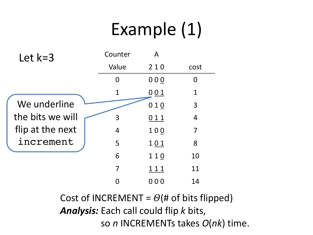# Example (1)

| Let $k=3$        | Counter     | A           |                |
|------------------|-------------|-------------|----------------|
|                  | Value       | 210         | cost           |
|                  | 0           | 000         | $\Omega$       |
|                  | $\mathbf 1$ | 001         | $\mathbf 1$    |
| We underline     |             | 010         | 3              |
| the bits we will | 3           | 011         | $\overline{4}$ |
| flip at the next | 4           | 100         | 7              |
| increment        | 5           | 101         | 8              |
|                  | 6           | 110         | 10             |
|                  | 7           | <u> 111</u> | 11             |
|                  |             | 000         | 14             |

Cost of INCREMENT =  $\Theta$ (# of bits flipped) *Analysis:* Each call could flip *k* bits, so *n* INCREMENTs takes *O*(*nk*) time.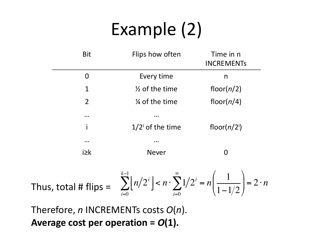# Example (2)

| <b>Bit</b>     | Flips how often                                                                                                                                   | Time in n<br><b>INCREMENTS</b> |
|----------------|---------------------------------------------------------------------------------------------------------------------------------------------------|--------------------------------|
| $\overline{0}$ | Every time                                                                                                                                        | n                              |
| $\mathbf 1$    | $\frac{1}{2}$ of the time                                                                                                                         | floor( $n/2$ )                 |
| $\overline{2}$ | % of the time                                                                                                                                     | floor( $n/4$ )                 |
| $\cdots$       | .                                                                                                                                                 |                                |
|                | $1/2^{\text{i}}$ of the time                                                                                                                      | floor( $n/2$ <sup>i</sup> )    |
| $\cdots$       |                                                                                                                                                   |                                |
| $i \geq k$     | <b>Never</b>                                                                                                                                      | 0                              |
|                | Thus, total # flips = $\sum_{i=0}^{k-1} \lfloor n/2^i \rfloor < n \cdot \sum_{i=0}^{\infty} 1/2^i = n \left( \frac{1}{1-1/2} \right) = 2 \cdot n$ |                                |

Therefore, *n* INCREMENTs costs *O*(*n*). **Average cost per operation =** *O***(1).**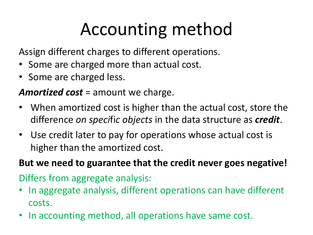# Accounting method

Assign different charges to different operations.

- Some are charged more than actual cost.
- Some are charged less.

*Amortized cost* = amount we charge.

- When amortized cost is higher than the actual cost, store the difference *on speci*fi*c objects* in the data structure as *credit*.
- Use credit later to pay for operations whose actual cost is higher than the amortized cost.

#### **But we need to guarantee that the credit never goes negative!**

Differs from aggregate analysis:

- In aggregate analysis, different operations can have different costs.
- In accounting method, all operations have same cost.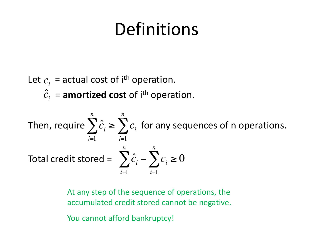### Definitions

Let  $c_i$  = actual cost of i<sup>th</sup> operation.  $\hat{c}_i$  = **amortized cost** of i<sup>th</sup> operation.

Then, require 
$$
\sum_{i=1}^{n} \hat{c}_i \ge \sum_{i=1}^{n} c_i
$$
 for any sequences of n operations.  
Total credit stored = 
$$
\sum_{i=1}^{n} \hat{c}_i - \sum_{i=1}^{n} c_i \ge 0
$$

At any step of the sequence of operations, the accumulated credit stored cannot be negative.

You cannot afford bankruptcy!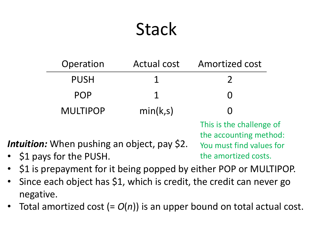### **Stack**

| Operation                                                                     | <b>Actual cost</b>                                                                                     | Amortized cost |
|-------------------------------------------------------------------------------|--------------------------------------------------------------------------------------------------------|----------------|
| <b>PUSH</b>                                                                   |                                                                                                        |                |
| <b>POP</b>                                                                    |                                                                                                        | O              |
| <b>MULTIPOP</b>                                                               | min(k,s)                                                                                               |                |
| <i>Intuition:</i> When pushing an object, pay \$2.<br>• S1 pays for the PUSH. | This is the challenge of<br>the accounting method:<br>You must find values for<br>the amortized costs. |                |

- \$1 pays for the PUSH.
- \$1 is prepayment for it being popped by either POP or MULTIPOP.
- Since each object has \$1, which is credit, the credit can never go negative.
- Total amortized cost (=  $O(n)$ ) is an upper bound on total actual cost.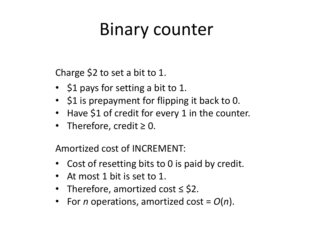## Binary counter

Charge \$2 to set a bit to 1.

- \$1 pays for setting a bit to 1.
- \$1 is prepayment for flipping it back to 0.
- Have \$1 of credit for every 1 in the counter.
- Therefore, credit  $\geq 0$ .

Amortized cost of INCREMENT:

- Cost of resetting bits to 0 is paid by credit.
- At most 1 bit is set to 1.
- Therefore, amortized cost ≤ \$2.
- For *n* operations, amortized cost =  $O(n)$ .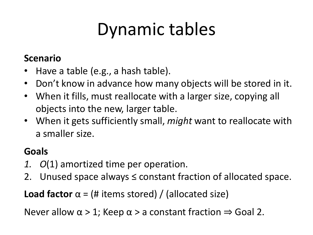# Dynamic tables

#### **Scenario**

- Have a table (e.g., a hash table).
- Don't know in advance how many objects will be stored in it.
- When it fills, must reallocate with a larger size, copying all objects into the new, larger table.
- When it gets sufficiently small, *might* want to reallocate with a smaller size.

### **Goals**

- *1. O*(1) amortized time per operation.
- 2. Unused space always ≤ constant fraction of allocated space.

**Load factor**  $\alpha = (\# \text{ items stored}) / (\text{allocated size})$ 

Never allow  $\alpha > 1$ ; Keep  $\alpha > a$  constant fraction  $\Rightarrow$  Goal 2.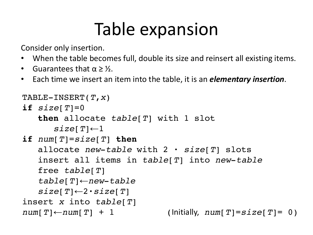## Table expansion

Consider only insertion.

- When the table becomes full, double its size and reinsert all existing items.
- Guarantees that  $\alpha \geq \frac{1}{2}$ .
- Each time we insert an item into the table, it is an *elementary insertion*.

```
TABLE-INSERT(T,x)
if size[T]=0then allocate table[T] with 1 slot
      size[T] \leftarrow 1if num[T]=size[T] then
   allocate new-table with 2 · size[T] slots
   insert all items in table[T] into new-table
   free table[T]
   table[T]←new-table
   size[T] \leftarrow 2 \cdot size[T]insert x into table[T]
num[T] \leftarrow num[T] + 1 (Initially, num[T] = size[T] = 0)
```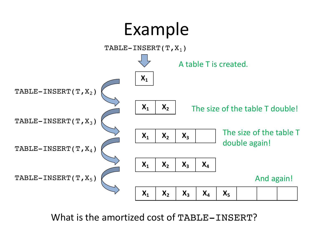

What is the amortized cost of TABLE-INSERT?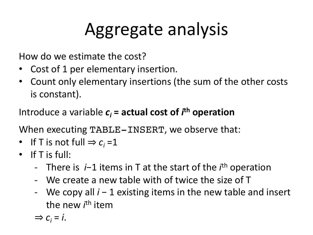# Aggregate analysis

How do we estimate the cost?

- Cost of 1 per elementary insertion.
- Count only elementary insertions (the sum of the other costs is constant).

Introduce a variable  $c_i$  = actual cost of *i*<sup>th</sup> operation

When executing TABLE-INSERT, we observe that:

- If T is not full  $\Rightarrow c_i = 1$
- $\bullet$  If T is full:
	- There is *i*−1 items in T at the start of the *i* th operation
	- We create a new table with of twice the size of T
	- We copy all *i* − 1 existing items in the new table and insert the new *i*<sup>th</sup> item

 $\Rightarrow$   $C_i = i$ .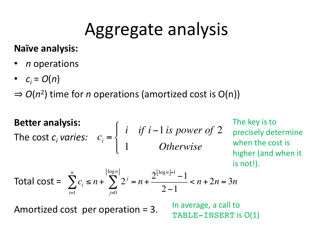### Aggregate analysis

### **Naïve analysis:**

- *n* operations
- $c_i = O(n)$

⇒ *O*(*n*2) time for *n* operations (amortized cost is O(n))

**Better analysis:**  
\nThe cost 
$$
c_i
$$
 varies:  $c_i = \begin{cases} i & \text{if } i-1 \text{ is power of 2} \\ 1 & \text{Otherwise} \end{cases}$  The key is to  
\nwhen the cost is  
\nhigner (and when it  
\nis not!).  
\nTotal cost =  $\sum_{i=1}^{n} c_i \le n + \sum_{j=0}^{\lfloor \log n \rfloor} 2^j = n + \frac{2^{\lfloor \log n \rfloor + 1} - 1}{2 - 1} < n + 2n = 3n$ 

Amortized cost per operation = 3.

In average, a call to TABLE-INSERT is O(1)